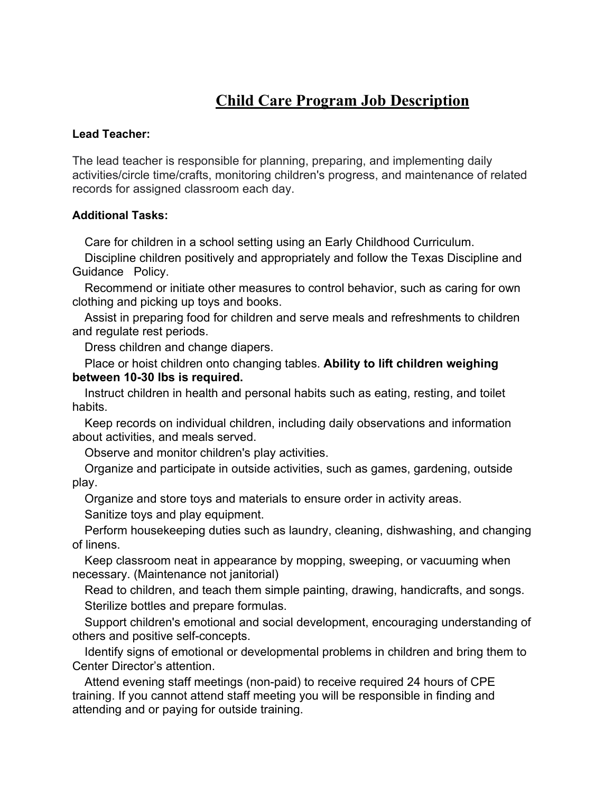# **Child Care Program Job Description**

## **Lead Teacher:**

The lead teacher is responsible for planning, preparing, and implementing daily activities/circle time/crafts, monitoring children's progress, and maintenance of related records for assigned classroom each day.

### **Additional Tasks:**

Care for children in a school setting using an Early Childhood Curriculum.

 Discipline children positively and appropriately and follow the Texas Discipline and Guidance Policy.

 Recommend or initiate other measures to control behavior, such as caring for own clothing and picking up toys and books.

 Assist in preparing food for children and serve meals and refreshments to children and regulate rest periods.

Dress children and change diapers.

 Place or hoist children onto changing tables. **Ability to lift children weighing between 10-30 lbs is required.**

 Instruct children in health and personal habits such as eating, resting, and toilet habits.

 Keep records on individual children, including daily observations and information about activities, and meals served.

Observe and monitor children's play activities.

 Organize and participate in outside activities, such as games, gardening, outside play.

Organize and store toys and materials to ensure order in activity areas.

Sanitize toys and play equipment.

 Perform housekeeping duties such as laundry, cleaning, dishwashing, and changing of linens.

 Keep classroom neat in appearance by mopping, sweeping, or vacuuming when necessary. (Maintenance not janitorial)

 Read to children, and teach them simple painting, drawing, handicrafts, and songs. Sterilize bottles and prepare formulas.

 Support children's emotional and social development, encouraging understanding of others and positive self-concepts.

 Identify signs of emotional or developmental problems in children and bring them to Center Director's attention.

 Attend evening staff meetings (non-paid) to receive required 24 hours of CPE training. If you cannot attend staff meeting you will be responsible in finding and attending and or paying for outside training.